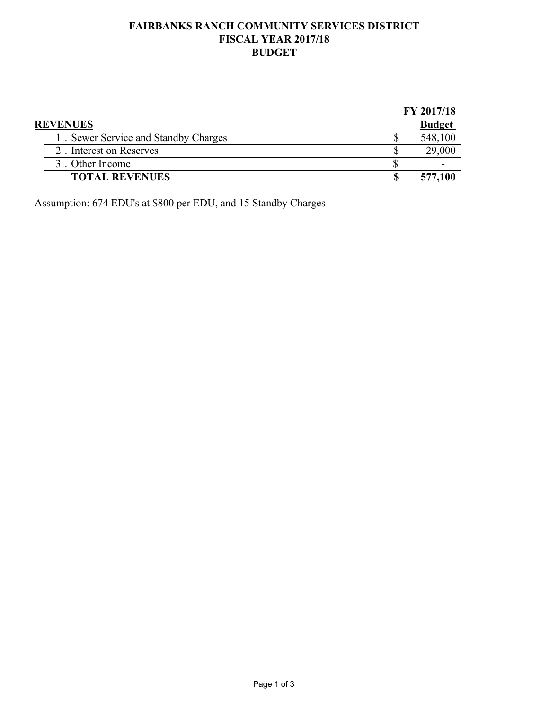## **FAIRBANKS RANCH COMMUNITY SERVICES DISTRICT FISCAL YEAR 2017/18 BUDGET**

|                                      | FY 2017/18    |
|--------------------------------------|---------------|
| <b>REVENUES</b>                      | <b>Budget</b> |
| 1. Sewer Service and Standby Charges | 548,100       |
| 2. Interest on Reserves              | 29,000        |
| 3. Other Income                      | ۰             |
| <b>TOTAL REVENUES</b>                | 577,100       |

Assumption: 674 EDU's at \$800 per EDU, and 15 Standby Charges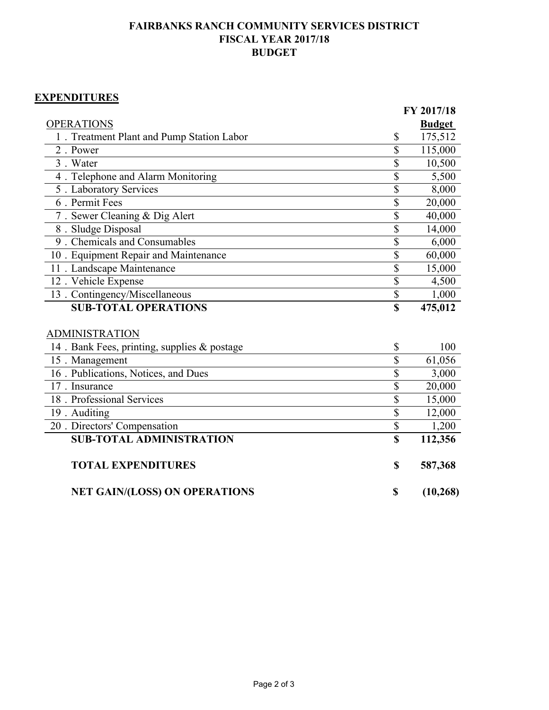## **FAIRBANKS RANCH COMMUNITY SERVICES DISTRICT FISCAL YEAR 2017/18 BUDGET**

## **EXPENDITURES**

|                                             |                    | FY 2017/18    |
|---------------------------------------------|--------------------|---------------|
| <b>OPERATIONS</b>                           |                    | <b>Budget</b> |
| 1. Treatment Plant and Pump Station Labor   | \$                 | 175,512       |
| 2. Power                                    | \$                 | 115,000       |
| 3. Water                                    | \$                 | 10,500        |
| 4. Telephone and Alarm Monitoring           | \$                 | 5,500         |
| 5 . Laboratory Services                     | \$                 | 8,000         |
| 6. Permit Fees                              | \$                 | 20,000        |
| 7. Sewer Cleaning & Dig Alert               | \$                 | 40,000        |
| 8. Sludge Disposal                          | \$                 | 14,000        |
| 9. Chemicals and Consumables                | \$                 | 6,000         |
| 10 . Equipment Repair and Maintenance       | \$                 | 60,000        |
| 11 . Landscape Maintenance                  | \$                 | 15,000        |
| 12. Vehicle Expense                         | $\mathbf{\hat{S}}$ | 4,500         |
| 13 . Contingency/Miscellaneous              | \$                 | 1,000         |
|                                             |                    |               |
| <b>SUB-TOTAL OPERATIONS</b>                 | $\mathbf S$        | 475,012       |
|                                             |                    |               |
| <b>ADMINISTRATION</b>                       |                    |               |
| 14. Bank Fees, printing, supplies & postage | \$                 | 100           |
| 15. Management                              | \$                 | 61,056        |
| 16 . Publications, Notices, and Dues        | \$                 | 3,000         |
| 17. Insurance                               | \$                 | 20,000        |
| 18. Professional Services                   | \$                 | 15,000        |
| 19. Auditing                                | \$                 | 12,000        |
| 20 . Directors' Compensation                | $\overline{\$}$    | 1,200         |
| <b>SUB-TOTAL ADMINISTRATION</b>             | $\mathbf S$        | 112,356       |
|                                             |                    |               |
| <b>TOTAL EXPENDITURES</b>                   | \$                 | 587,368       |
| <b>NET GAIN/(LOSS) ON OPERATIONS</b>        | \$                 | (10, 268)     |